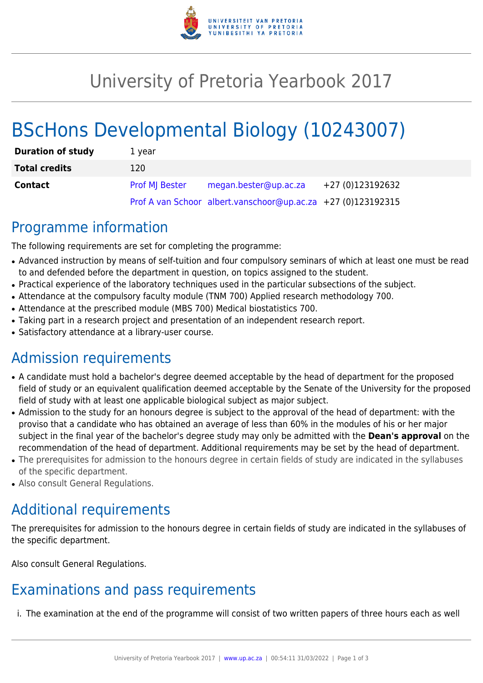

# University of Pretoria Yearbook 2017

# BScHons Developmental Biology (10243007)

| <b>Duration of study</b> | 1 year         |                                                              |                  |
|--------------------------|----------------|--------------------------------------------------------------|------------------|
| <b>Total credits</b>     | 120            |                                                              |                  |
| <b>Contact</b>           | Prof MJ Bester | megan.bester@up.ac.za                                        | +27 (0)123192632 |
|                          |                | Prof A van Schoor albert.vanschoor@up.ac.za +27 (0)123192315 |                  |

### Programme information

The following requirements are set for completing the programme:

- Advanced instruction by means of self-tuition and four compulsory seminars of which at least one must be read to and defended before the department in question, on topics assigned to the student.
- Practical experience of the laboratory techniques used in the particular subsections of the subject.
- Attendance at the compulsory faculty module (TNM 700) Applied research methodology 700.
- Attendance at the prescribed module (MBS 700) Medical biostatistics 700.
- Taking part in a research project and presentation of an independent research report.
- Satisfactory attendance at a library-user course.

## Admission requirements

- A candidate must hold a bachelor's degree deemed acceptable by the head of department for the proposed field of study or an equivalent qualification deemed acceptable by the Senate of the University for the proposed field of study with at least one applicable biological subject as major subject.
- Admission to the study for an honours degree is subject to the approval of the head of department: with the proviso that a candidate who has obtained an average of less than 60% in the modules of his or her major subject in the final year of the bachelor's degree study may only be admitted with the **Dean's approval** on the recommendation of the head of department. Additional requirements may be set by the head of department.
- The prerequisites for admission to the honours degree in certain fields of study are indicated in the syllabuses of the specific department.
- Also consult General Regulations.

## Additional requirements

The prerequisites for admission to the honours degree in certain fields of study are indicated in the syllabuses of the specific department.

Also consult General Regulations.

## Examinations and pass requirements

i. The examination at the end of the programme will consist of two written papers of three hours each as well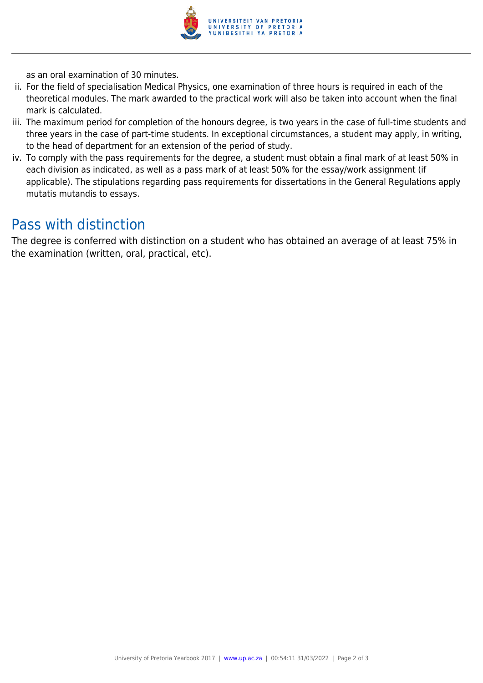

as an oral examination of 30 minutes.

- ii. For the field of specialisation Medical Physics, one examination of three hours is required in each of the theoretical modules. The mark awarded to the practical work will also be taken into account when the final mark is calculated.
- iii. The maximum period for completion of the honours degree, is two years in the case of full-time students and three years in the case of part-time students. In exceptional circumstances, a student may apply, in writing, to the head of department for an extension of the period of study.
- iv. To comply with the pass requirements for the degree, a student must obtain a final mark of at least 50% in each division as indicated, as well as a pass mark of at least 50% for the essay/work assignment (if applicable). The stipulations regarding pass requirements for dissertations in the General Regulations apply mutatis mutandis to essays.

### Pass with distinction

The degree is conferred with distinction on a student who has obtained an average of at least 75% in the examination (written, oral, practical, etc).